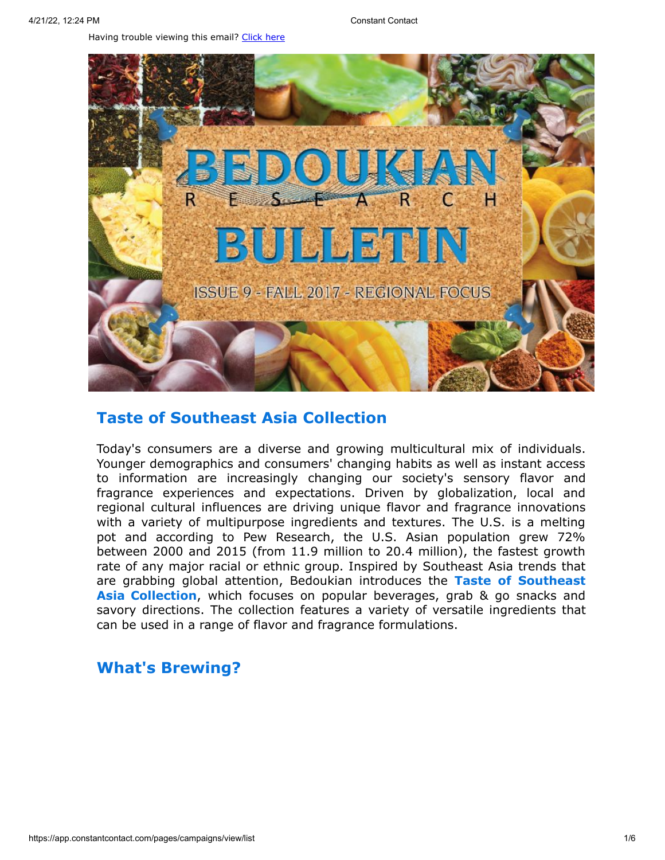Having trouble viewing this email? [Click](http://campaign.r20.constantcontact.com/render?preview=true&m=1119604276206&ca=eef63a5b-884e-4f48-ac54-a3443f609320&id=preview) here



# **Taste of Southeast Asia Collection**

Today's consumers are a diverse and growing multicultural mix of individuals. Younger demographics and consumers' changing habits as well as instant access to information are increasingly changing our society's sensory flavor and fragrance experiences and expectations. Driven by globalization, local and regional cultural influences are driving unique flavor and fragrance innovations with a variety of multipurpose ingredients and textures. The U.S. is a melting pot and according to Pew Research, the U.S. Asian population grew 72% between 2000 and 2015 (from 11.9 million to 20.4 million), the fastest growth rate of any major racial or ethnic group. Inspired by Southeast Asia trends that are grabbing global attention, Bedoukian introduces the **Taste of Southeast Asia Collection**, which focuses on popular beverages, grab & go snacks and savory directions. The collection features a variety of versatile ingredients that can be used in a range of flavor and fragrance formulations.

# **What's Brewing?**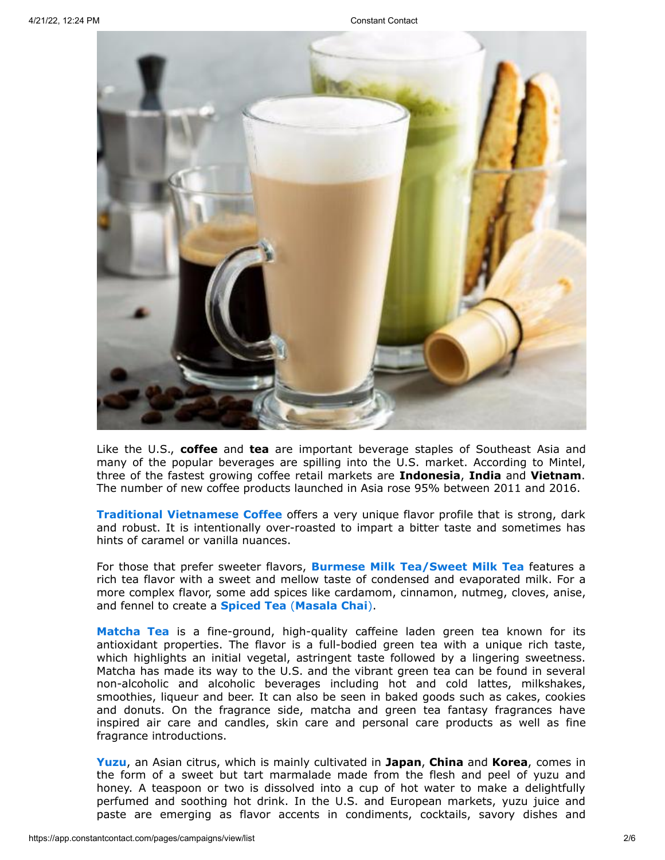

Like the U.S., **coffee** and **tea** are important beverage staples of Southeast Asia and many of the popular beverages are spilling into the U.S. market. According to Mintel, three of the fastest growing coffee retail markets are **Indonesia**, **India** and **Vietnam**. The number of new coffee products launched in Asia rose 95% between 2011 and 2016.

**Traditional Vietnamese Coffee** offers a very unique flavor profile that is strong, dark and robust. It is intentionally over-roasted to impart a bitter taste and sometimes has hints of caramel or vanilla nuances.

For those that prefer sweeter flavors, **Burmese Milk Tea/Sweet Milk Tea** features a rich tea flavor with a sweet and mellow taste of condensed and evaporated milk. For a more complex flavor, some add spices like cardamom, cinnamon, nutmeg, cloves, anise, and fennel to create a **Spiced Tea** (**Masala Chai**).

**Matcha Tea** is a fine-ground, high-quality caffeine laden green tea known for its antioxidant properties. The flavor is a full-bodied green tea with a unique rich taste, which highlights an initial vegetal, astringent taste followed by a lingering sweetness. Matcha has made its way to the U.S. and the vibrant green tea can be found in several non-alcoholic and alcoholic beverages including hot and cold lattes, milkshakes, smoothies, liqueur and beer. It can also be seen in baked goods such as cakes, cookies and donuts. On the fragrance side, matcha and green tea fantasy fragrances have inspired air care and candles, skin care and personal care products as well as fine fragrance introductions.

**Yuzu**, an Asian citrus, which is mainly cultivated in **Japan**, **China** and **Korea**, comes in the form of a sweet but tart marmalade made from the flesh and peel of yuzu and honey. A teaspoon or two is dissolved into a cup of hot water to make a delightfully perfumed and soothing hot drink. In the U.S. and European markets, yuzu juice and paste are emerging as flavor accents in condiments, cocktails, savory dishes and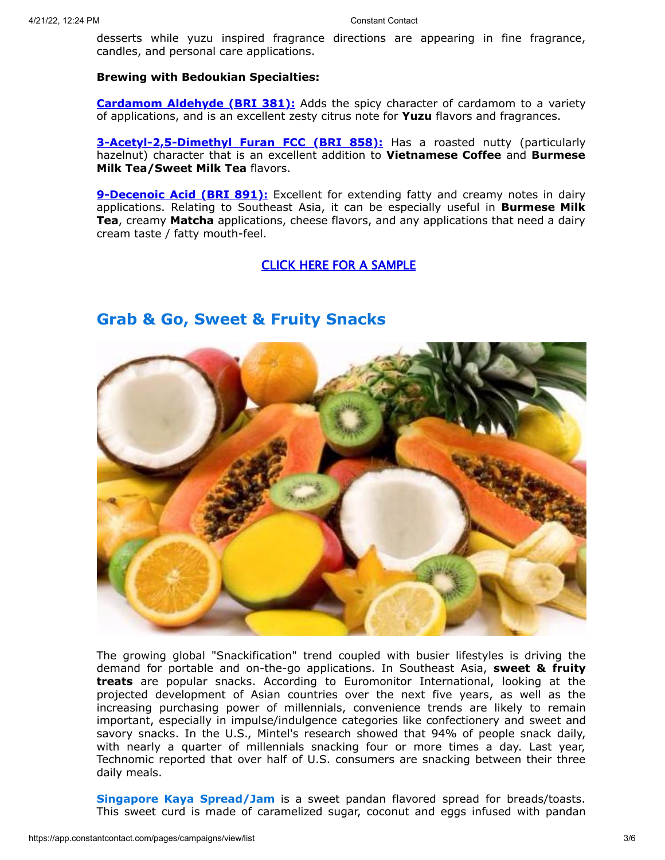desserts while yuzu inspired fragrance directions are appearing in fine fragrance, candles, and personal care applications.

### **Brewing with Bedoukian Specialties:**

**[Cardamom](http://search.bedoukian.com/flavorfragrance/ff_product.asp?method=POP&id=381) Aldehyde (BRI 381):** Adds the spicy character of cardamom to a variety of applications, and is an excellent zesty citrus note for **Yuzu** flavors and fragrances.

**[3-Acetyl-2,5-Dimethyl Furan](http://search.bedoukian.com/flavorfragrance/ff_product.asp?method=POP&id=858) FCC (BRI 858):** Has a roasted nutty (particularly hazelnut) character that is an excellent addition to **Vietnamese Coffee** and **Burmese Milk Tea/Sweet Milk Tea** flavors.

**[9-Decenoic](http://search.bedoukian.com/flavorfragrance/ff_product.asp?method=POP&id=891) Acid (BRI 891):** Excellent for extending fatty and creamy notes in dairy applications. Relating to Southeast Asia, it can be especially useful in **Burmese Milk Tea**, creamy **Matcha** applications, cheese flavors, and any applications that need a dairy cream taste / fatty mouth-feel.

## CLICK HERE FOR A [SAMPLE](mailto:customerservice@bedoukian.com?subject=Bedoukian%20Bulletin%20-%20Fall%202017&body=Hello%2C%0A%0AI%20would%20like%20to%20request%20free%20samples%20of%20each%20product%20advertised%20in%20the%20Fall%202017%20Bedoukian%20Bulletin!)



## **Grab & Go, Sweet & Fruity Snacks**

The growing global "Snackification" trend coupled with busier lifestyles is driving the demand for portable and on-the-go applications. In Southeast Asia, **sweet & fruity treats** are popular snacks. According to Euromonitor International, looking at the projected development of Asian countries over the next five years, as well as the increasing purchasing power of millennials, convenience trends are likely to remain important, especially in impulse/indulgence categories like confectionery and sweet and savory snacks. In the U.S., Mintel's research showed that 94% of people snack daily, with nearly a quarter of millennials snacking four or more times a day. Last year, Technomic reported that over half of U.S. consumers are snacking between their three daily meals.

**Singapore Kaya Spread/Jam** is a sweet pandan flavored spread for breads/toasts. This sweet curd is made of caramelized sugar, coconut and eggs infused with pandan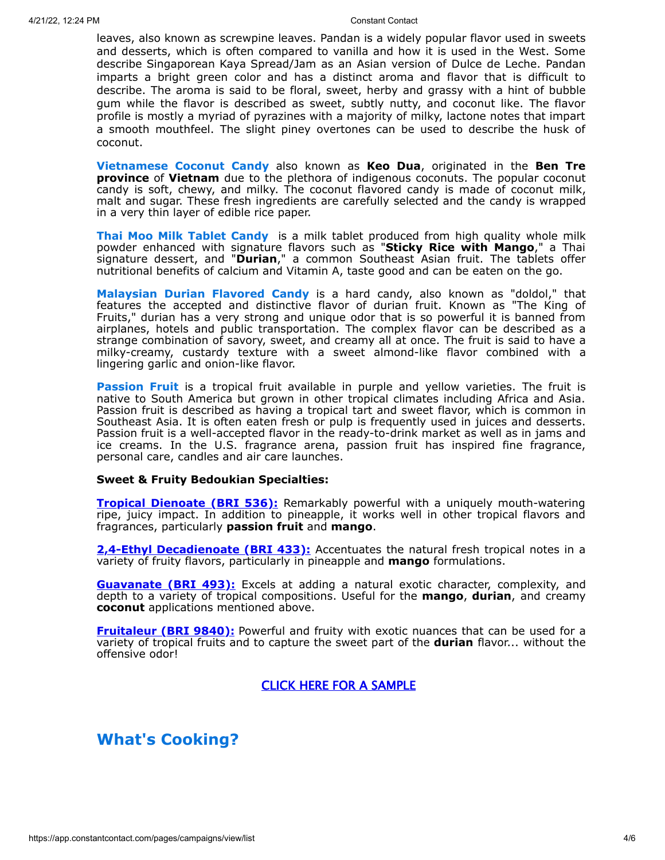leaves, also known as screwpine leaves. Pandan is a widely popular flavor used in sweets and desserts, which is often compared to vanilla and how it is used in the West. Some describe Singaporean Kaya Spread/Jam as an Asian version of Dulce de Leche. Pandan imparts a bright green color and has a distinct aroma and flavor that is difficult to describe. The aroma is said to be floral, sweet, herby and grassy with a hint of bubble gum while the flavor is described as sweet, subtly nutty, and coconut like. The flavor profile is mostly a myriad of pyrazines with a majority of milky, lactone notes that impart a smooth mouthfeel. The slight piney overtones can be used to describe the husk of coconut.

**Vietnamese Coconut Candy** also known as **Keo Dua**, originated in the **Ben Tre province** of **Vietnam** due to the plethora of indigenous coconuts. The popular coconut candy is soft, chewy, and milky. The coconut flavored candy is made of coconut milk, malt and sugar. These fresh ingredients are carefully selected and the candy is wrapped in a very thin layer of edible rice paper.

**Thai Moo Milk Tablet Candy** is a milk tablet produced from high quality whole milk powder enhanced with signature flavors such as "**Sticky Rice with Mango**," a Thai signature dessert, and "**Durian**," a common Southeast Asian fruit. The tablets offer nutritional benefits of calcium and Vitamin A, taste good and can be eaten on the go.

**Malaysian Durian Flavored Candy** is a hard candy, also known as "doldol," that features the accepted and distinctive flavor of durian fruit. Known as "The King of Fruits," durian has a very strong and unique odor that is so powerful it is banned from airplanes, hotels and public transportation. The complex flavor can be described as a strange combination of savory, sweet, and creamy all at once. The fruit is said to have a milky-creamy, custardy texture with a sweet almond-like flavor combined with a lingering garlic and onion-like flavor.

**Passion Fruit** is a tropical fruit available in purple and yellow varieties. The fruit is native to South America but grown in other tropical climates including Africa and Asia. Passion fruit is described as having a tropical tart and sweet flavor, which is common in Southeast Asia. It is often eaten fresh or pulp is frequently used in juices and desserts. Passion fruit is a well-accepted flavor in the ready-to-drink market as well as in jams and ice creams. In the U.S. fragrance arena, passion fruit has inspired fine fragrance, personal care, candles and air care launches.

### **Sweet & Fruity Bedoukian Specialties:**

**[Tropical Dienoate](http://search.bedoukian.com/flavorfragrance/ff_product.asp?method=POP&id=536) (BRI 536):** Remarkably powerful with a uniquely mouth-watering ripe, juicy impact. In addition to pineapple, it works well in other tropical flavors and fragrances, particularly **passion fruit** and **mango**.

**[2,4-Ethyl Decadienoate](http://search.bedoukian.com/flavorfragrance/ff_product.asp?method=POP&id=433) (BRI 433):** Accentuates the natural fresh tropical notes in a variety of fruity flavors, particularly in pineapple and **mango** formulations.

**[Guavanate](http://search.bedoukian.com/flavorfragrance/ff_product.asp?method=POP&id=493) (BRI 493):** Excels at adding a natural exotic character, complexity, and depth to a variety of tropical compositions. Useful for the **mango**, **durian**, and creamy **coconut** applications mentioned above.

**[Fruitaleur](http://search.bedoukian.com/flavorfragrance/ff_product.asp?method=POP&id=9840) (BRI 9840):** Powerful and fruity with exotic nuances that can be used for a variety of tropical fruits and to capture the sweet part of the **durian** flavor... without the offensive odor!

CLICK HERE FOR A [SAMPLE](mailto:customerservice@bedoukian.com?subject=Bedoukian%20Bulletin%20-%20Fall%202017&body=Hello%2C%0A%0AI%20would%20like%20to%20request%20free%20samples%20of%20each%20product%20advertised%20in%20the%20Fall%202017%20Bedoukian%20Bulletin.)

## **What's Cooking?**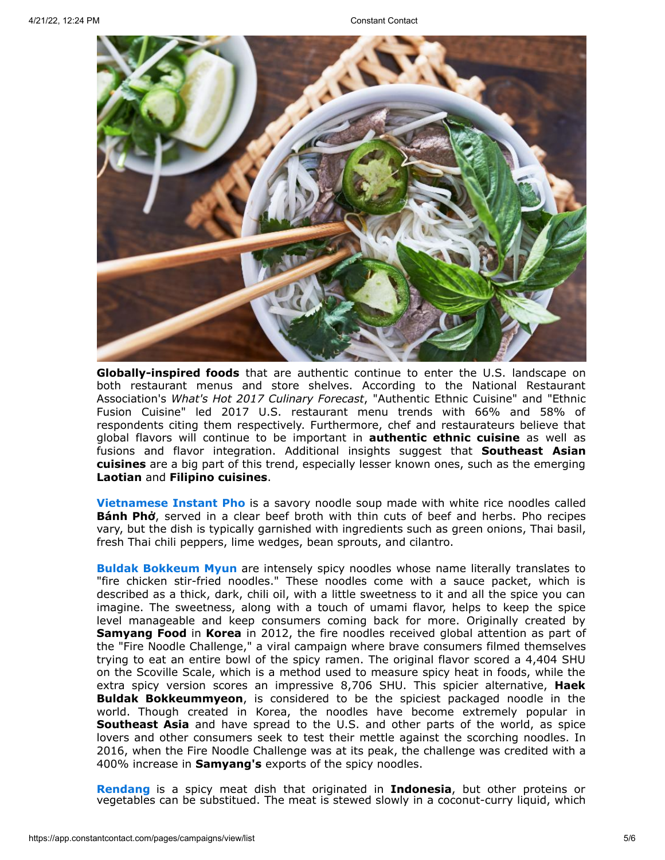

**[Globally-inspired](http://www.bedoukian.com/) foods** that are authentic continue to enter the U.S. landscape on both restaurant menus and store shelves. According to the National Restaurant Association's *What's Hot 2017 Culinary Forecast*, "Authentic Ethnic Cuisine" and "Ethnic Fusion Cuisine" led 2017 U.S. restaurant menu trends with 66% and 58% of respondents citing them respectively. Furthermore, chef and restaurateurs believe that global flavors will continue to be important in **authentic ethnic cuisine** as well as fusions and flavor integration. Additional insights suggest that **Southeast Asian cuisines** are a big part of this trend, especially lesser known ones, such as the emerging **Laotian** and **Filipino cuisines**.

**Vietnamese Instant Pho** is a savory noodle soup made with white rice noodles called **Bánh Phở**, served in a clear beef broth with thin cuts of beef and herbs. Pho recipes vary, but the dish is typically garnished with ingredients such as green onions, Thai basil, fresh Thai chili peppers, lime wedges, bean sprouts, and cilantro.

**Buldak Bokkeum Myun** are intensely spicy noodles whose name literally translates to "fire chicken stir-fried noodles." These noodles come with a sauce packet, which is described as a thick, dark, chili oil, with a little sweetness to it and all the spice you can imagine. The sweetness, along with a touch of umami flavor, helps to keep the spice level manageable and keep consumers coming back for more. Originally created by **Samyang Food** in **Korea** in 2012, the fire noodles received global attention as part of the "Fire Noodle Challenge," a viral campaign where brave consumers filmed themselves trying to eat an entire bowl of the spicy ramen. The original flavor scored a 4,404 SHU on the Scoville Scale, which is a method used to measure spicy heat in foods, while the extra spicy version scores an impressive 8,706 SHU. This spicier alternative, **Haek Buldak Bokkeummyeon**, is considered to be the spiciest packaged noodle in the world. Though created in Korea, the noodles have become extremely popular in **Southeast Asia** and have spread to the U.S. and other parts of the world, as spice lovers and other consumers seek to test their mettle against the scorching noodles. In 2016, when the Fire Noodle Challenge was at its peak, the challenge was credited with a 400% increase in **Samyang's** exports of the spicy noodles.

**Rendang** is a spicy meat dish that originated in **Indonesia**, but other proteins or vegetables can be substitued. The meat is stewed slowly in a coconut-curry liquid, which